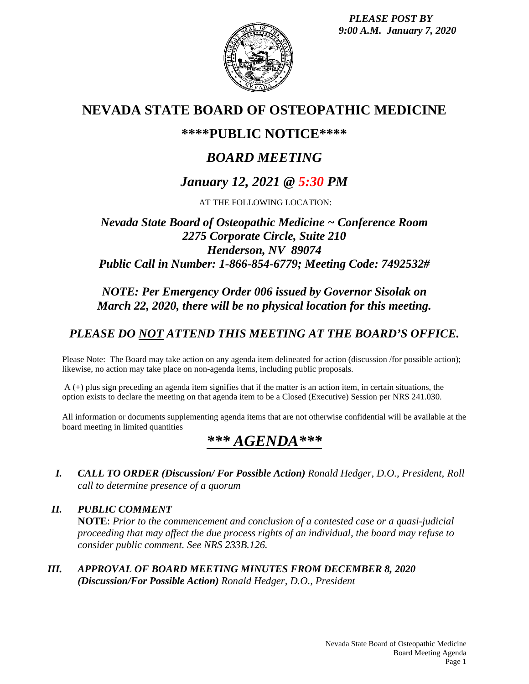*PLEASE POST BY 9:00 A.M. January 7, 2020*



# **NEVADA STATE BOARD OF OSTEOPATHIC MEDICINE**

## **\*\*\*\*PUBLIC NOTICE\*\*\*\***

# *BOARD MEETING*

# *January 12, 2021 @ 5:30 PM*

AT THE FOLLOWING LOCATION:

## *Nevada State Board of Osteopathic Medicine ~ Conference Room 2275 Corporate Circle, Suite 210 Henderson, NV 89074 Public Call in Number: 1-866-854-6779; Meeting Code: 7492532#*

## *NOTE: Per Emergency Order 006 issued by Governor Sisolak on March 22, 2020, there will be no physical location for this meeting.*

## *PLEASE DO NOT ATTEND THIS MEETING AT THE BOARD'S OFFICE.*

Please Note: The Board may take action on any agenda item delineated for action (discussion /for possible action); likewise, no action may take place on non-agenda items, including public proposals.

 $A$  (+) plus sign preceding an agenda item signifies that if the matter is an action item, in certain situations, the option exists to declare the meeting on that agenda item to be a Closed (Executive) Session per NRS 241.030.

All information or documents supplementing agenda items that are not otherwise confidential will be available at the board meeting in limited quantities

# *\*\*\* AGENDA\*\*\**

- *I. CALL TO ORDER (Discussion/ For Possible Action) Ronald Hedger, D.O., President, Roll call to determine presence of a quorum*
- *II. PUBLIC COMMENT* **NOTE**: *Prior to the commencement and conclusion of a contested case or a quasi-judicial proceeding that may affect the due process rights of an individual, the board may refuse to consider public comment. See NRS 233B.126.*
- *III. APPROVAL OF BOARD MEETING MINUTES FROM DECEMBER 8, 2020 (Discussion/For Possible Action) Ronald Hedger, D.O., President*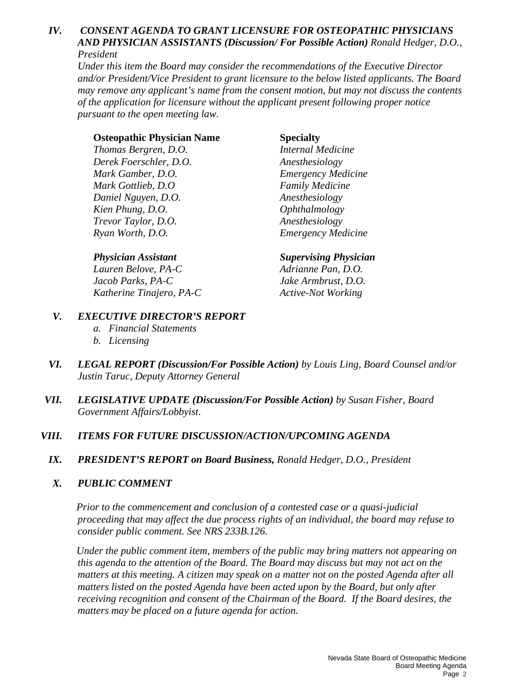#### *IV. CONSENT AGENDA TO GRANT LICENSURE FOR OSTEOPATHIC PHYSICIANS AND PHYSICIAN ASSISTANTS (Discussion/ For Possible Action) Ronald Hedger, D.O., President*

*Under this item the Board may consider the recommendations of the Executive Director and/or President/Vice President to grant licensure to the below listed applicants. The Board may remove any applicant's name from the consent motion, but may not discuss the contents of the application for licensure without the applicant present following proper notice pursuant to the open meeting law.*

#### **Osteopathic Physician Name Specialty**

*Thomas Bergren, D.O. Internal Medicine Derek Foerschler, D.O. Anesthesiology Mark Gamber, D.O. Emergency Medicine Mark Gottlieb, D.O Family Medicine Daniel Nguyen, D.O. Anesthesiology Kien Phung, D.O. Ophthalmology Trevor Taylor, D.O. Anesthesiology Ryan Worth, D.O. Emergency Medicine*

*Lauren Belove, PA-C Adrianne Pan, D.O. Jacob Parks, PA-C Jake Armbrust, D.O. Katherine Tinajero, PA-C Active-Not Working* 

### *Physician Assistant Supervising Physician*

#### *V. EXECUTIVE DIRECTOR'S REPORT*

- *a. Financial Statements*
- *b. Licensing*
- *VI. LEGAL REPORT (Discussion/For Possible Action) by Louis Ling, Board Counsel and/or Justin Taruc, Deputy Attorney General*
- *VII. LEGISLATIVE UPDATE (Discussion/For Possible Action) by Susan Fisher, Board Government Affairs/Lobbyist*.

### *VIII. ITEMS FOR FUTURE DISCUSSION/ACTION/UPCOMING AGENDA*

*IX. PRESIDENT'S REPORT on Board Business, Ronald Hedger, D.O., President*

### *X. PUBLIC COMMENT*

*Prior to the commencement and conclusion of a contested case or a quasi-judicial proceeding that may affect the due process rights of an individual, the board may refuse to consider public comment. See NRS 233B.126.*

*Under the public comment item, members of the public may bring matters not appearing on this agenda to the attention of the Board. The Board may discuss but may not act on the matters at this meeting. A citizen may speak on a matter not on the posted Agenda after all matters listed on the posted Agenda have been acted upon by the Board, but only after receiving recognition and consent of the Chairman of the Board. If the Board desires, the matters may be placed on a future agenda for action.*